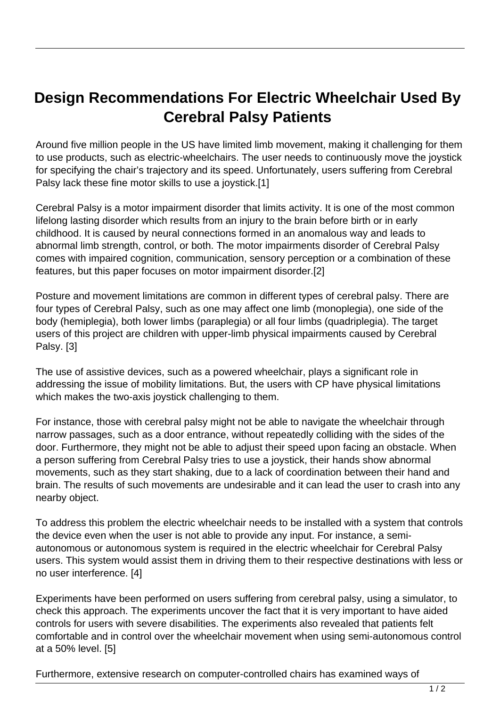## **Design Recommendations For Electric Wheelchair Used By Cerebral Palsy Patients**

Around five million people in the US have limited limb movement, making it challenging for them to use products, such as electric-wheelchairs. The user needs to continuously move the joystick for specifying the chair's trajectory and its speed. Unfortunately, users suffering from Cerebral Palsy lack these fine motor skills to use a joystick.[1]

Cerebral Palsy is a motor impairment disorder that limits activity. It is one of the most common lifelong lasting disorder which results from an injury to the brain before birth or in early childhood. It is caused by neural connections formed in an anomalous way and leads to abnormal limb strength, control, or both. The motor impairments disorder of Cerebral Palsy comes with impaired cognition, communication, sensory perception or a combination of these features, but this paper focuses on motor impairment disorder.[2]

Posture and movement limitations are common in different types of cerebral palsy. There are four types of Cerebral Palsy, such as one may affect one limb (monoplegia), one side of the body (hemiplegia), both lower limbs (paraplegia) or all four limbs (quadriplegia). The target users of this project are children with upper-limb physical impairments caused by Cerebral Palsy. [3]

The use of assistive devices, such as a powered wheelchair, plays a significant role in addressing the issue of mobility limitations. But, the users with CP have physical limitations which makes the two-axis joystick challenging to them.

For instance, those with cerebral palsy might not be able to navigate the wheelchair through narrow passages, such as a door entrance, without repeatedly colliding with the sides of the door. Furthermore, they might not be able to adjust their speed upon facing an obstacle. When a person suffering from Cerebral Palsy tries to use a joystick, their hands show abnormal movements, such as they start shaking, due to a lack of coordination between their hand and brain. The results of such movements are undesirable and it can lead the user to crash into any nearby object.

To address this problem the electric wheelchair needs to be installed with a system that controls the device even when the user is not able to provide any input. For instance, a semiautonomous or autonomous system is required in the electric wheelchair for Cerebral Palsy users. This system would assist them in driving them to their respective destinations with less or no user interference. [4]

Experiments have been performed on users suffering from cerebral palsy, using a simulator, to check this approach. The experiments uncover the fact that it is very important to have aided controls for users with severe disabilities. The experiments also revealed that patients felt comfortable and in control over the wheelchair movement when using semi-autonomous control at a 50% level. [5]

Furthermore, extensive research on computer-controlled chairs has examined ways of